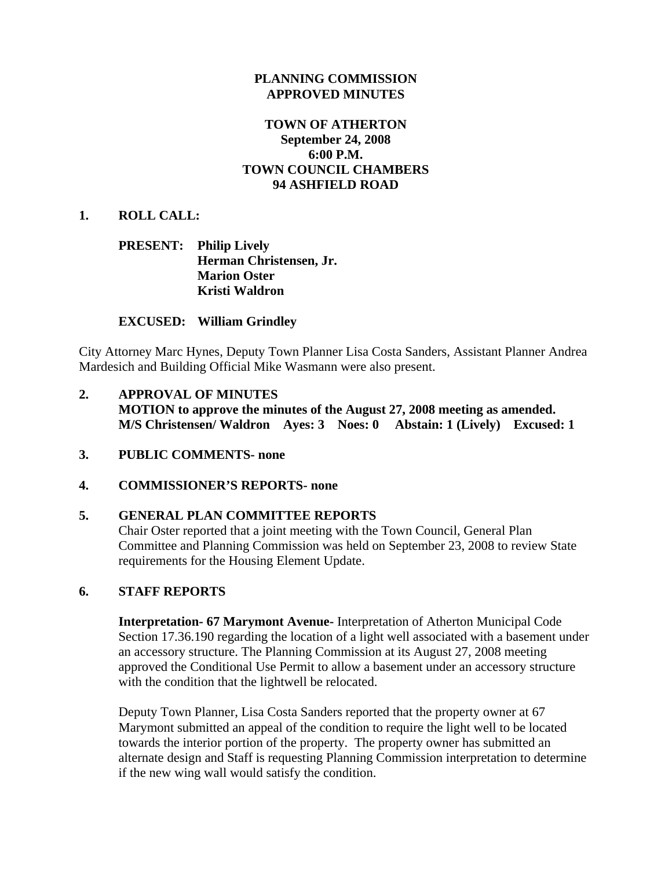### **PLANNING COMMISSION APPROVED MINUTES**

## **TOWN OF ATHERTON September 24, 2008 6:00 P.M. TOWN COUNCIL CHAMBERS 94 ASHFIELD ROAD**

### **1. ROLL CALL:**

### **PRESENT: Philip Lively Herman Christensen, Jr. Marion Oster Kristi Waldron**

### **EXCUSED: William Grindley**

City Attorney Marc Hynes, Deputy Town Planner Lisa Costa Sanders, Assistant Planner Andrea Mardesich and Building Official Mike Wasmann were also present.

- **2. APPROVAL OF MINUTES MOTION to approve the minutes of the August 27, 2008 meeting as amended. M/S Christensen/ Waldron Ayes: 3 Noes: 0 Abstain: 1 (Lively) Excused: 1**
- **3. PUBLIC COMMENTS- none**

### **4. COMMISSIONER'S REPORTS- none**

### **5. GENERAL PLAN COMMITTEE REPORTS**

Chair Oster reported that a joint meeting with the Town Council, General Plan Committee and Planning Commission was held on September 23, 2008 to review State requirements for the Housing Element Update.

### **6. STAFF REPORTS**

**Interpretation- 67 Marymont Avenue-** Interpretation of Atherton Municipal Code Section 17.36.190 regarding the location of a light well associated with a basement under an accessory structure. The Planning Commission at its August 27, 2008 meeting approved the Conditional Use Permit to allow a basement under an accessory structure with the condition that the lightwell be relocated.

Deputy Town Planner, Lisa Costa Sanders reported that the property owner at 67 Marymont submitted an appeal of the condition to require the light well to be located towards the interior portion of the property. The property owner has submitted an alternate design and Staff is requesting Planning Commission interpretation to determine if the new wing wall would satisfy the condition.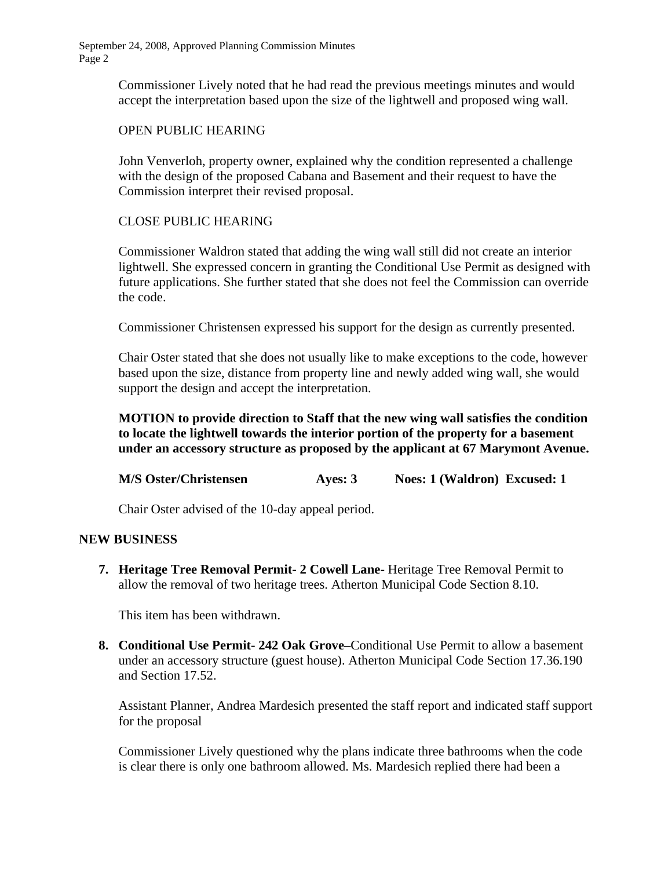September 24, 2008, Approved Planning Commission Minutes Page 2

> Commissioner Lively noted that he had read the previous meetings minutes and would accept the interpretation based upon the size of the lightwell and proposed wing wall.

### OPEN PUBLIC HEARING

John Venverloh, property owner, explained why the condition represented a challenge with the design of the proposed Cabana and Basement and their request to have the Commission interpret their revised proposal.

## CLOSE PUBLIC HEARING

Commissioner Waldron stated that adding the wing wall still did not create an interior lightwell. She expressed concern in granting the Conditional Use Permit as designed with future applications. She further stated that she does not feel the Commission can override the code.

Commissioner Christensen expressed his support for the design as currently presented.

Chair Oster stated that she does not usually like to make exceptions to the code, however based upon the size, distance from property line and newly added wing wall, she would support the design and accept the interpretation.

**MOTION to provide direction to Staff that the new wing wall satisfies the condition to locate the lightwell towards the interior portion of the property for a basement under an accessory structure as proposed by the applicant at 67 Marymont Avenue.** 

**M/S Oster/Christensen Ayes: 3 Noes: 1 (Waldron) Excused: 1** 

Chair Oster advised of the 10-day appeal period.

### **NEW BUSINESS**

**7. Heritage Tree Removal Permit- 2 Cowell Lane-** Heritage Tree Removal Permit to allow the removal of two heritage trees. Atherton Municipal Code Section 8.10.

This item has been withdrawn.

**8. Conditional Use Permit- 242 Oak Grove–**Conditional Use Permit to allow a basement under an accessory structure (guest house). Atherton Municipal Code Section 17.36.190 and Section 17.52.

Assistant Planner, Andrea Mardesich presented the staff report and indicated staff support for the proposal

 Commissioner Lively questioned why the plans indicate three bathrooms when the code is clear there is only one bathroom allowed. Ms. Mardesich replied there had been a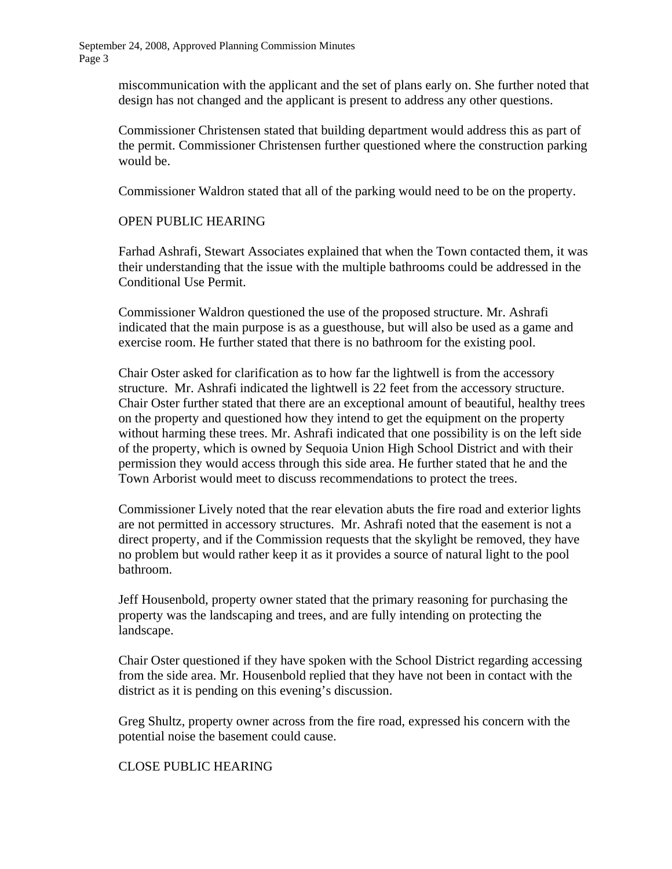September 24, 2008, Approved Planning Commission Minutes Page 3

> miscommunication with the applicant and the set of plans early on. She further noted that design has not changed and the applicant is present to address any other questions.

> Commissioner Christensen stated that building department would address this as part of the permit. Commissioner Christensen further questioned where the construction parking would be.

Commissioner Waldron stated that all of the parking would need to be on the property.

#### OPEN PUBLIC HEARING

 Farhad Ashrafi, Stewart Associates explained that when the Town contacted them, it was their understanding that the issue with the multiple bathrooms could be addressed in the Conditional Use Permit.

 Commissioner Waldron questioned the use of the proposed structure. Mr. Ashrafi indicated that the main purpose is as a guesthouse, but will also be used as a game and exercise room. He further stated that there is no bathroom for the existing pool.

 Chair Oster asked for clarification as to how far the lightwell is from the accessory structure. Mr. Ashrafi indicated the lightwell is 22 feet from the accessory structure. Chair Oster further stated that there are an exceptional amount of beautiful, healthy trees on the property and questioned how they intend to get the equipment on the property without harming these trees. Mr. Ashrafi indicated that one possibility is on the left side of the property, which is owned by Sequoia Union High School District and with their permission they would access through this side area. He further stated that he and the Town Arborist would meet to discuss recommendations to protect the trees.

 Commissioner Lively noted that the rear elevation abuts the fire road and exterior lights are not permitted in accessory structures. Mr. Ashrafi noted that the easement is not a direct property, and if the Commission requests that the skylight be removed, they have no problem but would rather keep it as it provides a source of natural light to the pool bathroom.

 Jeff Housenbold, property owner stated that the primary reasoning for purchasing the property was the landscaping and trees, and are fully intending on protecting the landscape.

 Chair Oster questioned if they have spoken with the School District regarding accessing from the side area. Mr. Housenbold replied that they have not been in contact with the district as it is pending on this evening's discussion.

 Greg Shultz, property owner across from the fire road, expressed his concern with the potential noise the basement could cause.

### CLOSE PUBLIC HEARING